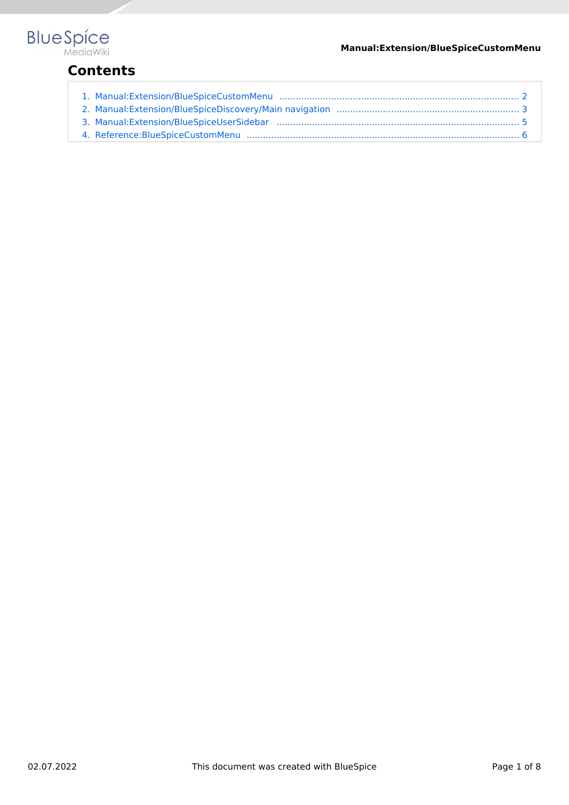

## **Contents**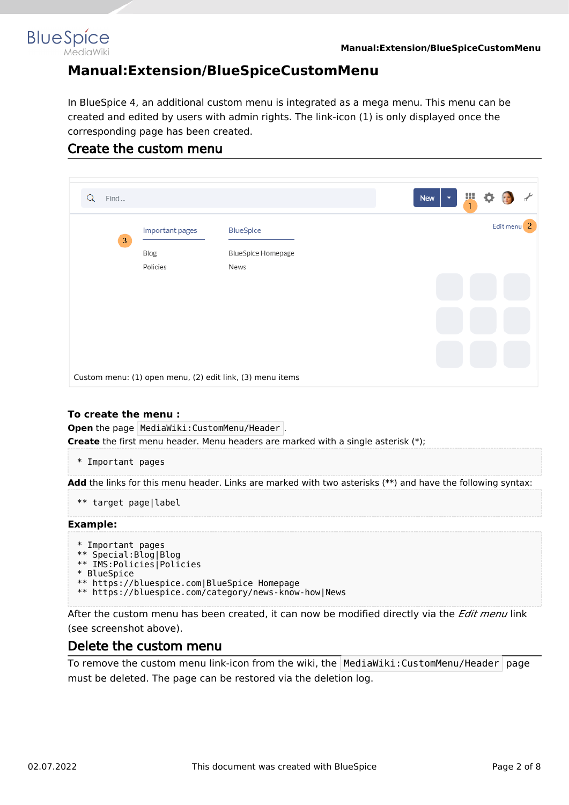<span id="page-1-0"></span>

## **Manual:Extension/BlueSpiceCustomMenu**

In BlueSpice 4, an additional custom menu is integrated as a mega menu. This menu can be created and edited by users with admin rights. The link-icon (1) is only displayed once the corresponding page has been created.

## Create the custom menu

| Find<br>Q  |                                     |                                                           |  | New<br>$\overline{\phantom{a}}$ | Ш<br>$\mathbf{1}$ |                        |  |
|------------|-------------------------------------|-----------------------------------------------------------|--|---------------------------------|-------------------|------------------------|--|
| $\sqrt{3}$ | Important pages<br>Blog<br>Policies | <b>BlueSpice</b><br><b>BlueSpice Homepage</b><br>News     |  |                                 |                   | Edit menu <sup>2</sup> |  |
|            |                                     |                                                           |  |                                 |                   |                        |  |
|            |                                     | Custom menu: (1) open menu, (2) edit link, (3) menu items |  |                                 |                   |                        |  |

### **To create the menu :**

**Open** the page MediaWiki: CustomMenu/Header . **Create** the first menu header. Menu headers are marked with a single asterisk (\*);

\* Important pages

**Add** the links for this menu header. Links are marked with two asterisks (\*\*) and have the following syntax:

```
** target page|label
```
#### **Example:**

```
* Important pages
** Special:Blog|Blog
** IMS:Policies|Policies
* BlueSpice
** https://bluespice.com|BlueSpice Homepage
** https://bluespice.com/category/news-know-how|News
```
After the custom menu has been created, it can now be modified directly via the *Edit menu* link (see screenshot above).

### Delete the custom menu

To remove the custom menu link-icon from the wiki, the  $\blacksquare$ MediaWiki:CustomMenu/Header page must be deleted. The page can be restored via the deletion log.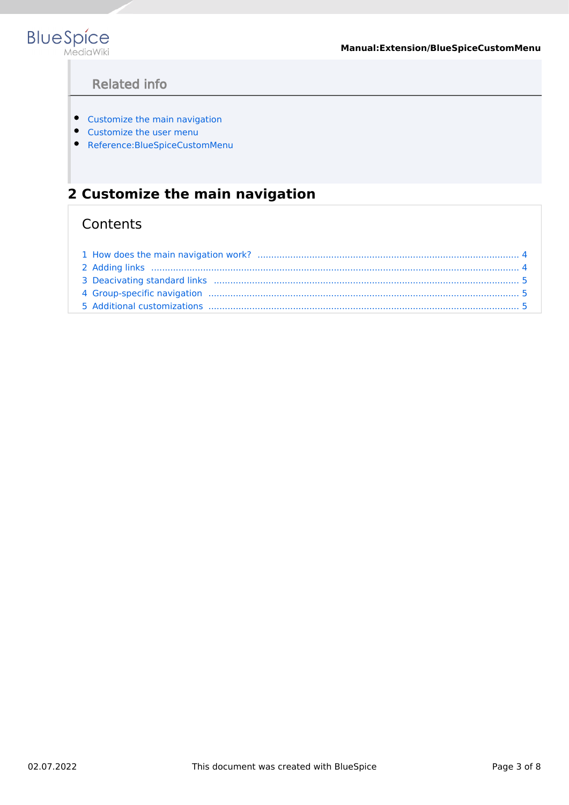

**Manual:Extension/BlueSpiceCustomMenu**

## Related info

- [Customize the main navigation](#page-2-0)
- [Customize the user menu](#page-4-0)
- [Reference:BlueSpiceCustomMenu](#page-5-0)

## <span id="page-2-0"></span>**2 Customize the main navigation**

## **Contents**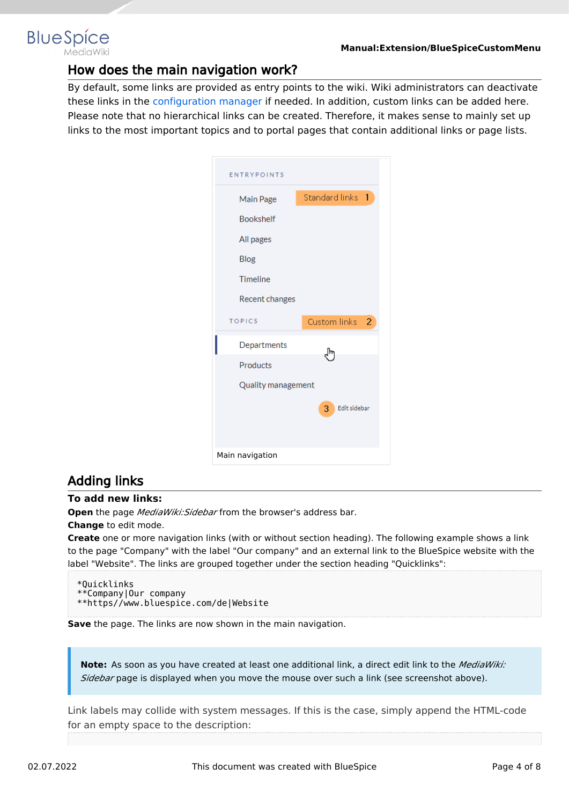<span id="page-3-0"></span>

### How does the main navigation work?

By default, some links are provided as entry points to the wiki. Wiki administrators can deactivate these links in the [configuration manager](https://en.wiki.bluespice.com/wiki/Manual:Extension/BlueSpiceConfigManager) if needed. In addition, custom links can be added here. Please note that no hierarchical links can be created. Therefore, it makes sense to mainly set up links to the most important topics and to portal pages that contain additional links or page lists.

| <b>ENTRYPOINTS</b> |                                |
|--------------------|--------------------------------|
| Main Page          | Standard links 1               |
| <b>Bookshelf</b>   |                                |
| All pages          |                                |
| Blog               |                                |
| Timeline           |                                |
| Recent changes     |                                |
| <b>TOPICS</b>      | Custom links<br>$\overline{2}$ |
| Departments        | m                              |
| Products           |                                |
| Quality management |                                |
|                    | Edit sidebar<br>3              |
| Main navigation    |                                |

### <span id="page-3-1"></span>Adding links

#### **To add new links:**

**Open** the page *MediaWiki:Sidebar* from the browser's address bar.

#### **Change** to edit mode.

**Create** one or more navigation links (with or without section heading). The following example shows a link to the page "Company" with the label "Our company" and an external link to the BlueSpice website with the label "Website". The links are grouped together under the section heading "Quicklinks":

\*Quicklinks \*\*Company|Our company \*\*https//www.bluespice.com/de|Website

**Save** the page. The links are now shown in the main navigation.

**Note:** As soon as you have created at least one additional link, a direct edit link to the *MediaWiki: Sidebar* page is displayed when you move the mouse over such a link (see screenshot above).

Link labels may collide with system messages. If this is the case, simply append the HTML-code for an empty space to the description: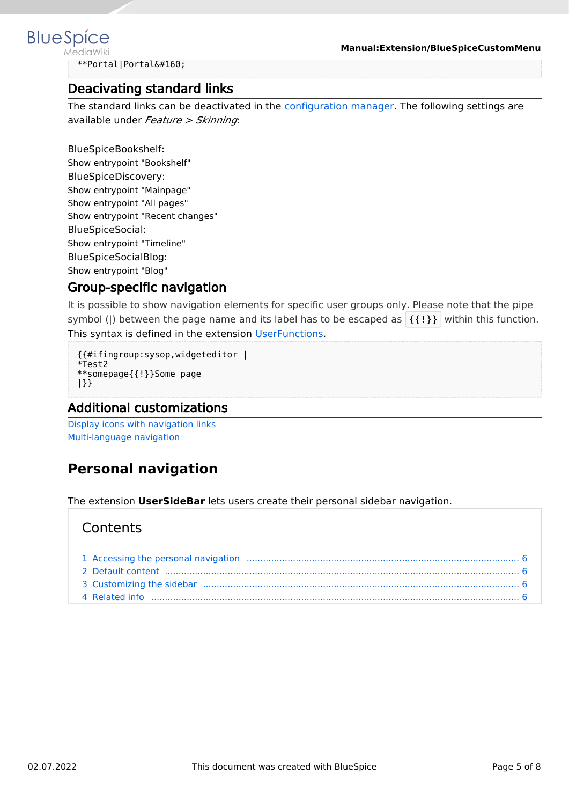# <span id="page-4-1"></span>**BlueSpice**

**Manual:Extension/BlueSpiceCustomMenu**

\*\*Portal|Portal

## Deacivating standard links

The standard links can be deactivated in the [configuration manager](https://en.wiki.bluespice.com/wiki/Manual:Extension/BlueSpiceConfigManager). The following settings are available under *Feature > Skinning*:

BlueSpiceBookshelf: Show entrypoint "Bookshelf" BlueSpiceDiscovery: Show entrypoint "Mainpage" Show entrypoint "All pages" Show entrypoint "Recent changes" BlueSpiceSocial: Show entrypoint "Timeline" BlueSpiceSocialBlog: Show entrypoint "Blog"

## <span id="page-4-2"></span>Group-specific navigation

It is possible to show navigation elements for specific user groups only. Please note that the pipe symbol (|) between the page name and its label has to be escaped as  $\{\{\}\}\$  within this function. This syntax is defined in the extension [UserFunctions](https://en.wiki.bluespice.com/wiki/Reference:UserFunctions).

```
{{#ifingroup:sysop,widgeteditor |
*Test2 
**somepage{{!}}Some page
|}}
```
## <span id="page-4-3"></span>Additional customizations

[Display icons with navigation links](https://en.wiki.bluespice.com/wiki/Manual:Extension/BlueSpiceDiscovery/Main_navigation/Icons) [Multi-language navigation](https://en.wiki.bluespice.com/wiki/Manual:Extension/BlueSpiceDiscovery/Main_navigation/Language_support)

## <span id="page-4-0"></span>**Personal navigation**

The extension **UserSideBar** lets users create their personal sidebar navigation.

## **Contents**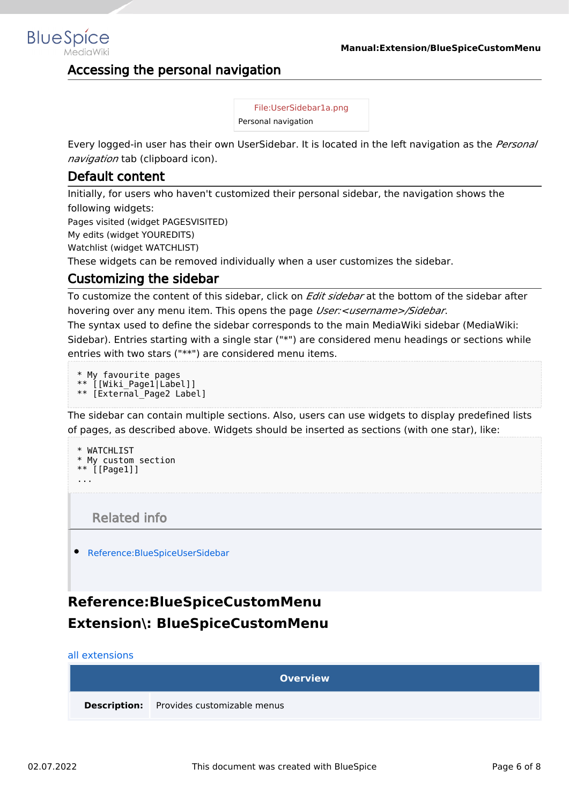## <span id="page-5-1"></span>Accessing the personal navigation

[File:UserSidebar1a.png](https://en.wiki.bluespice.com/w/index.php?title=Special:Upload&wpDestFile=UserSidebar1a.png) Personal navigation

Every logged-in user has their own UserSidebar. It is located in the left navigation as the *Personal navigation* tab (clipboard icon).

## <span id="page-5-2"></span>Default content

Initially, for users who haven't customized their personal sidebar, the navigation shows the following widgets: Pages visited (widget PAGESVISITED)

My edits (widget YOUREDITS) Watchlist (widget WATCHLIST)

These widgets can be removed individually when a user customizes the sidebar.

## <span id="page-5-3"></span>Customizing the sidebar

To customize the content of this sidebar, click on *Edit sidebar* at the bottom of the sidebar after hovering over any menu item. This opens the page *User:<username>/Sidebar*.

The syntax used to define the sidebar corresponds to the main MediaWiki sidebar (MediaWiki: Sidebar). Entries starting with a single star ("\*") are considered menu headings or sections while entries with two stars ("\*\*") are considered menu items.

```
* My favourite pages
** [[Wiki_Page1|Label]]
** [External_Page2 Label]
```
The sidebar can contain multiple sections. Also, users can use widgets to display predefined lists of pages, as described above. Widgets should be inserted as sections (with one star), like:

```
* WATCHLIST
* My custom section
** [[Page1]]
...
```
Related info

<span id="page-5-4"></span>[Reference:BlueSpiceUserSidebar](https://en.wiki.bluespice.com/wiki/Reference:BlueSpiceUserSidebar)

## <span id="page-5-0"></span>**Reference:BlueSpiceCustomMenu Extension\: BlueSpiceCustomMenu**

#### [all extensions](https://en.wiki.bluespice.com/wiki/Category:Extension)

| <b>Overview</b> |                                                 |  |  |  |  |
|-----------------|-------------------------------------------------|--|--|--|--|
|                 | <b>Description:</b> Provides customizable menus |  |  |  |  |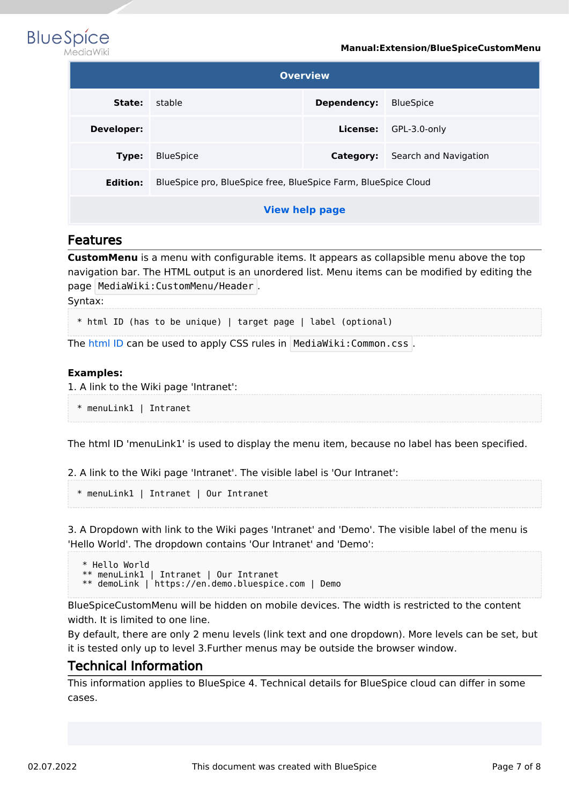

| <b>BlueSpice</b> |           |
|------------------|-----------|
|                  | MediaWiki |

| <b>Overview</b>                                     |                                                                |          |              |  |  |  |
|-----------------------------------------------------|----------------------------------------------------------------|----------|--------------|--|--|--|
| stable<br>Dependency:<br><b>BlueSpice</b><br>State: |                                                                |          |              |  |  |  |
| Developer:                                          |                                                                | License: | GPL-3.0-only |  |  |  |
| Type:                                               | Search and Navigation                                          |          |              |  |  |  |
| <b>Edition:</b>                                     | BlueSpice pro, BlueSpice free, BlueSpice Farm, BlueSpice Cloud |          |              |  |  |  |
| <b>View help page</b>                               |                                                                |          |              |  |  |  |

### Features

**CustomMenu** is a menu with configurable items. It appears as collapsible menu above the top navigation bar. The HTML output is an unordered list. Menu items can be modified by editing the page MediaWiki:CustomMenu/Header .

Syntax:

\* html ID (has to be unique) | target page | label (optional)

The [html ID](https://www.w3schools.com/html/html_id.asp) can be used to apply CSS rules in MediaWiki: Common.css.

#### **Examples:**

1. A link to the Wiki page 'Intranet':

\* menuLink1 | Intranet

The html ID 'menuLink1' is used to display the menu item, because no label has been specified.

2. A link to the Wiki page 'Intranet'. The visible label is 'Our Intranet':

\* menuLink1 | Intranet | Our Intranet

3. A Dropdown with link to the Wiki pages 'Intranet' and 'Demo'. The visible label of the menu is 'Hello World'. The dropdown contains 'Our Intranet' and 'Demo':

 \* Hello World \*\* menuLink1 | Intranet | Our Intranet \*\* demoLink | https://en.demo.bluespice.com | Demo

BlueSpiceCustomMenu will be hidden on mobile devices. The width is restricted to the content width. It is limited to one line.

By default, there are only 2 menu levels (link text and one dropdown). More levels can be set, but it is tested only up to level 3.Further menus may be outside the browser window.

## Technical Information

This information applies to BlueSpice 4. Technical details for BlueSpice cloud can differ in some cases.